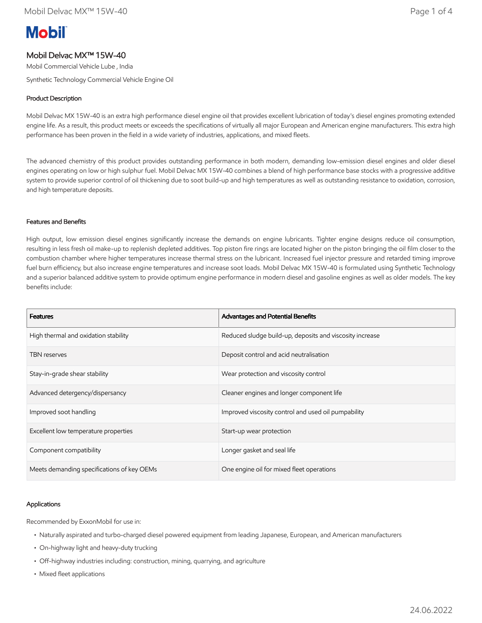# **Mobil**

# Mobil Delvac MX™ 15W-40

Mobil Commercial Vehicle Lube , India

Synthetic Technology Commercial Vehicle Engine Oil

## Product Description

Mobil Delvac MX 15W-40 is an extra high performance diesel engine oil that provides excellent lubrication of today's diesel engines promoting extended engine life. As a result, this product meets or exceeds the specifications of virtually all major European and American engine manufacturers. This extra high performance has been proven in the field in a wide variety of industries, applications, and mixed fleets.

The advanced chemistry of this product provides outstanding performance in both modern, demanding low-emission diesel engines and older diesel engines operating on low or high sulphur fuel. Mobil Delvac MX 15W-40 combines a blend of high performance base stocks with a progressive additive system to provide superior control of oil thickening due to soot build-up and high temperatures as well as outstanding resistance to oxidation, corrosion, and high temperature deposits.

## Features and Benefits

High output, low emission diesel engines significantly increase the demands on engine lubricants. Tighter engine designs reduce oil consumption, resulting in less fresh oil make-up to replenish depleted additives. Top piston fire rings are located higher on the piston bringing the oil film closer to the combustion chamber where higher temperatures increase thermal stress on the lubricant. Increased fuel injector pressure and retarded timing improve fuel burn efficiency, but also increase engine temperatures and increase soot loads. Mobil Delvac MX 15W-40 is formulated using Synthetic Technology and a superior balanced additive system to provide optimum engine performance in modern diesel and gasoline engines as well as older models. The key benefits include:

| <b>Features</b>                            | Advantages and Potential Benefits                        |
|--------------------------------------------|----------------------------------------------------------|
| High thermal and oxidation stability       | Reduced sludge build-up, deposits and viscosity increase |
| <b>TBN</b> reserves                        | Deposit control and acid neutralisation                  |
| Stay-in-grade shear stability              | Wear protection and viscosity control                    |
| Advanced detergency/dispersancy            | Cleaner engines and longer component life                |
| Improved soot handling                     | Improved viscosity control and used oil pumpability      |
| Excellent low temperature properties       | Start-up wear protection                                 |
| Component compatibility                    | Longer gasket and seal life                              |
| Meets demanding specifications of key OEMs | One engine oil for mixed fleet operations                |

## Applications

Recommended by ExxonMobil for use in:

- Naturally aspirated and turbo-charged diesel powered equipment from leading Japanese, European, and American manufacturers
- On-highway light and heavy-duty trucking
- Off-highway industries including: construction, mining, quarrying, and agriculture
- Mixed fleet applications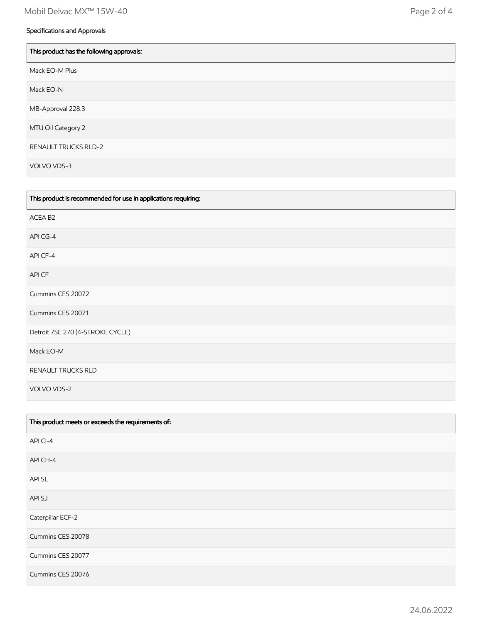# Specifications and Approvals

| This product has the following approvals: |
|-------------------------------------------|
| Mack EO-M Plus                            |
| Mack EO-N                                 |
| MB-Approval 228.3                         |
| MTU Oil Category 2                        |
| <b>RENAULT TRUCKS RLD-2</b>               |
| VOLVO VDS-3                               |

| This product is recommended for use in applications requiring: |
|----------------------------------------------------------------|
| ACEA B2                                                        |
| API CG-4                                                       |
| API CF-4                                                       |
| API CF                                                         |
| Cummins CES 20072                                              |
| Cummins CES 20071                                              |
| Detroit 7SE 270 (4-STROKE CYCLE)                               |
| Mack EO-M                                                      |
| RENAULT TRUCKS RLD                                             |
| VOLVO VDS-2                                                    |

| This product meets or exceeds the requirements of: |
|----------------------------------------------------|
| API CI-4                                           |
| API CH-4                                           |
| <b>APISL</b>                                       |
| API SJ                                             |
| Caterpillar ECF-2                                  |
| Cummins CES 20078                                  |
| Cummins CES 20077                                  |
| Cummins CES 20076                                  |